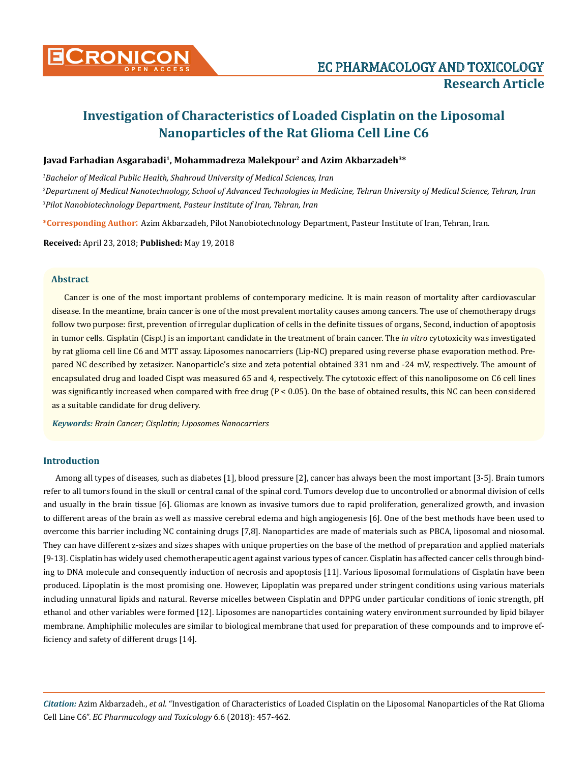

# **Investigation of Characteristics of Loaded Cisplatin on the Liposomal Nanoparticles of the Rat Glioma Cell Line C6**

# Javad Farhadian Asgarabadi<sup>1</sup>, Mohammadreza Malekpour<sup>2</sup> and Azim Akbarzadeh<sup>3\*</sup>

*1 Bachelor of Medical Public Health, Shahroud University of Medical Sciences, Iran*

*2 Department of Medical Nanotechnology, School of Advanced Technologies in Medicine, Tehran University of Medical Science, Tehran, Iran 3 Pilot Nanobiotechnology Department, Pasteur Institute of Iran, Tehran, Iran*

**\*Corresponding Author**: Azim Akbarzadeh, Pilot Nanobiotechnology Department, Pasteur Institute of Iran, Tehran, Iran.

**Received:** April 23, 2018; **Published:** May 19, 2018

# **Abstract**

Cancer is one of the most important problems of contemporary medicine. It is main reason of mortality after cardiovascular disease. In the meantime, brain cancer is one of the most prevalent mortality causes among cancers. The use of chemotherapy drugs follow two purpose: first, prevention of irregular duplication of cells in the definite tissues of organs, Second, induction of apoptosis in tumor cells. Cisplatin (Cispt) is an important candidate in the treatment of brain cancer. The *in vitro* cytotoxicity was investigated by rat glioma cell line C6 and MTT assay. Liposomes nanocarriers (Lip-NC) prepared using reverse phase evaporation method. Prepared NC described by zetasizer. Nanoparticle's size and zeta potential obtained 331 nm and -24 mV, respectively. The amount of encapsulated drug and loaded Cispt was measured 65 and 4, respectively. The cytotoxic effect of this nanoliposome on C6 cell lines was significantly increased when compared with free drug (P < 0.05). On the base of obtained results, this NC can been considered as a suitable candidate for drug delivery.

*Keywords: Brain Cancer; Cisplatin; Liposomes Nanocarriers*

# **Introduction**

Among all types of diseases, such as diabetes [1], blood pressure [2], cancer has always been the most important [3-5]. Brain tumors refer to all tumors found in the skull or central canal of the spinal cord. Tumors develop due to uncontrolled or abnormal division of cells and usually in the brain tissue [6]. Gliomas are known as invasive tumors due to rapid proliferation, generalized growth, and invasion to different areas of the brain as well as massive cerebral edema and high angiogenesis [6]. One of the best methods have been used to overcome this barrier including NC containing drugs [7,8]. Nanoparticles are made of materials such as PBCA, liposomal and niosomal. They can have different z-sizes and sizes shapes with unique properties on the base of the method of preparation and applied materials [9-13]. Cisplatin has widely used chemotherapeutic agent against various types of cancer. Cisplatin has affected cancer cells through binding to DNA molecule and consequently induction of necrosis and apoptosis [11]. Various liposomal formulations of Cisplatin have been produced. Lipoplatin is the most promising one. However, Lipoplatin was prepared under stringent conditions using various materials including unnatural lipids and natural. Reverse micelles between Cisplatin and DPPG under particular conditions of ionic strength, pH ethanol and other variables were formed [12]. Liposomes are nanoparticles containing watery environment surrounded by lipid bilayer membrane. Amphiphilic molecules are similar to biological membrane that used for preparation of these compounds and to improve efficiency and safety of different drugs [14].

*Citation:* Azim Akbarzadeh., *et al*. "Investigation of Characteristics of Loaded Cisplatin on the Liposomal Nanoparticles of the Rat Glioma Cell Line C6". *EC Pharmacology and Toxicology* 6.6 (2018): 457-462.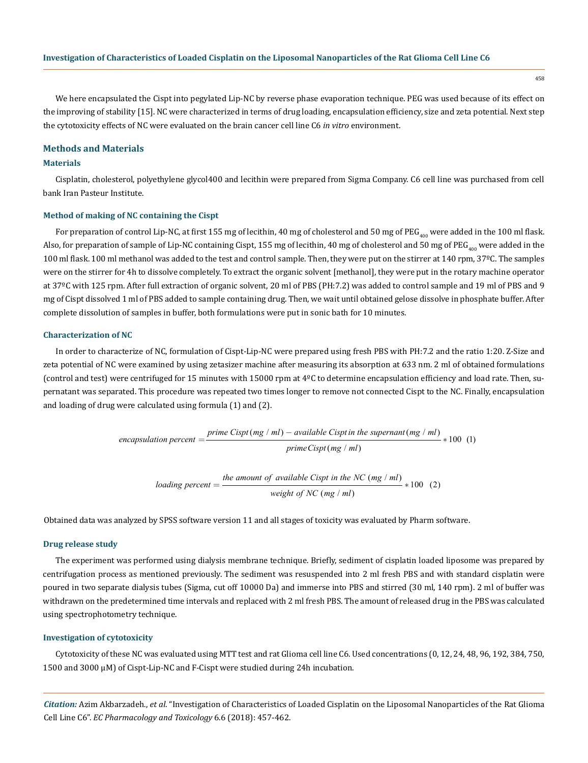We here encapsulated the Cispt into pegylated Lip-NC by reverse phase evaporation technique. PEG was used because of its effect on the improving of stability [15]. NC were characterized in terms of drug loading, encapsulation efficiency, size and zeta potential. Next step the cytotoxicity effects of NC were evaluated on the brain cancer cell line C6 *in vitro* environment.

#### **Methods and Materials**

#### **Materials**

Cisplatin, cholesterol, polyethylene glycol400 and lecithin were prepared from Sigma Company. C6 cell line was purchased from cell bank Iran Pasteur Institute.

#### **Method of making of NC containing the Cispt**

For preparation of control Lip-NC, at first 155 mg of lecithin, 40 mg of cholesterol and 50 mg of PEG<sub>400</sub> were added in the 100 ml flask. Also, for preparation of sample of Lip-NC containing Cispt, 155 mg of lecithin, 40 mg of cholesterol and 50 mg of PEG<sub>400</sub> were added in the 100 ml flask. 100 ml methanol was added to the test and control sample. Then, they were put on the stirrer at 140 rpm, 37°C. The samples were on the stirrer for 4h to dissolve completely. To extract the organic solvent [methanol], they were put in the rotary machine operator at 37ºC with 125 rpm. After full extraction of organic solvent, 20 ml of PBS (PH:7.2) was added to control sample and 19 ml of PBS and 9 mg of Cispt dissolved 1 ml of PBS added to sample containing drug. Then, we wait until obtained gelose dissolve in phosphate buffer. After complete dissolution of samples in buffer, both formulations were put in sonic bath for 10 minutes.

#### **Characterization of NC**

In order to characterize of NC, formulation of Cispt-Lip-NC were prepared using fresh PBS with PH:7.2 and the ratio 1:20. Z-Size and zeta potential of NC were examined by using zetasizer machine after measuring its absorption at 633 nm. 2 ml of obtained formulations (control and test) were centrifuged for 15 minutes with 15000 rpm at 4ºC to determine encapsulation efficiency and load rate. Then, supernatant was separated. This procedure was repeated two times longer to remove not connected Cispt to the NC. Finally, encapsulation and loading of drug were calculated using formula (1) and (2).

encapsulation percent 
$$
=
$$
  $\frac{prime\ Cispt(mg/ml) - available\ Cisptin the supernant(mg/ml)}{prime\ Cispt(mg/ml)}$  \* 100 (1)

loading percent = 
$$
\frac{the amount of available Cispt in the NC (mg / ml)}{weight of NC (mg / ml)} * 100
$$
 (2)

Obtained data was analyzed by SPSS software version 11 and all stages of toxicity was evaluated by Pharm software.

#### **Drug release study**

The experiment was performed using dialysis membrane technique. Briefly, sediment of cisplatin loaded liposome was prepared by centrifugation process as mentioned previously. The sediment was resuspended into 2 ml fresh PBS and with standard cisplatin were poured in two separate dialysis tubes (Sigma, cut off 10000 Da) and immerse into PBS and stirred (30 ml, 140 rpm). 2 ml of buffer was withdrawn on the predetermined time intervals and replaced with 2 ml fresh PBS. The amount of released drug in the PBS was calculated using spectrophotometry technique.

#### **Investigation of cytotoxicity**

Cytotoxicity of these NC was evaluated using MTT test and rat Glioma cell line C6. Used concentrations (0, 12, 24, 48, 96, 192, 384, 750, 1500 and 3000 µM) of Cispt-Lip-NC and F-Cispt were studied during 24h incubation.

*Citation:* Azim Akbarzadeh., *et al*. "Investigation of Characteristics of Loaded Cisplatin on the Liposomal Nanoparticles of the Rat Glioma Cell Line C6". *EC Pharmacology and Toxicology* 6.6 (2018): 457-462.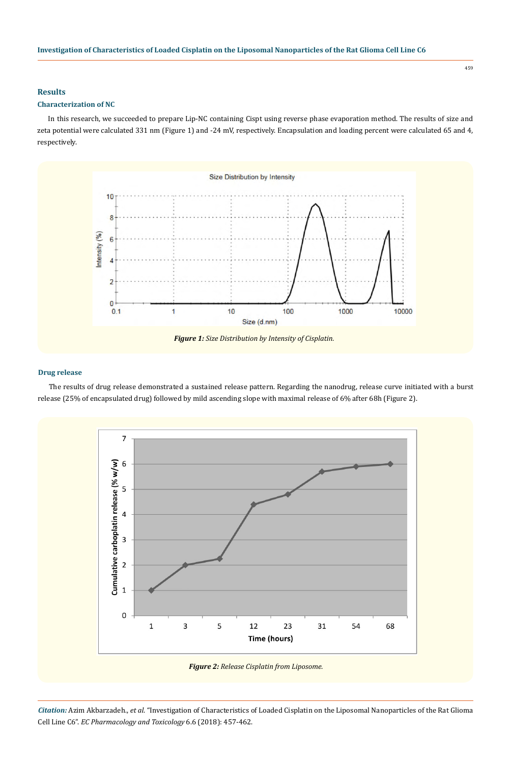## **Results**

# **Characterization of NC**

In this research, we succeeded to prepare Lip-NC containing Cispt using reverse phase evaporation method. The results of size and zeta potential were calculated 331 nm (Figure 1) and -24 mV, respectively. Encapsulation and loading percent were calculated 65 and 4, respectively.



# **Drug release**

The results of drug release demonstrated a sustained release pattern. Regarding the nanodrug, release curve initiated with a burst release (25% of encapsulated drug) followed by mild ascending slope with maximal release of 6% after 68h (Figure 2).





*Citation:* Azim Akbarzadeh., *et al*. "Investigation of Characteristics of Loaded Cisplatin on the Liposomal Nanoparticles of the Rat Glioma Cell Line C6". *EC Pharmacology and Toxicology* 6.6 (2018): 457-462.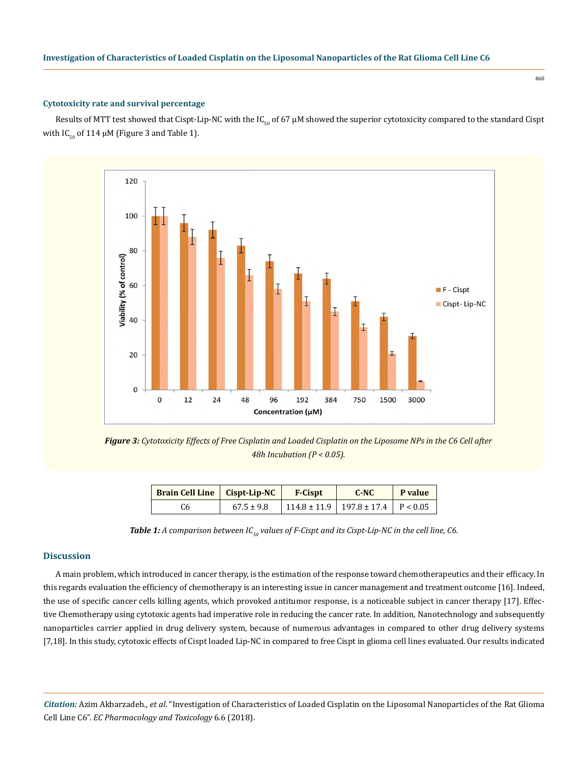#### **Cytotoxicity rate and survival percentage**

Results of MTT test showed that Cispt-Lip-NC with the IC<sub>50</sub> of 67  $\mu$ M showed the superior cytotoxicity compared to the standard Cispt with  $IC_{50}$  of 114 µM (Figure 3 and Table 1).



*Figure 3: Cytotoxicity Effects of Free Cisplatin and Loaded Cisplatin on the Liposome NPs in the C6 Cell after 48h Incubation (P < 0.05).*

| <b>Brain Cell Line   Cispt-Lip-NC</b> |                | <b>F-Cispt</b>   | $C-NC$                    | P value |
|---------------------------------------|----------------|------------------|---------------------------|---------|
|                                       | $67.5 \pm 9.8$ | $114.8 \pm 11.9$ | $197.8 \pm 17.4$ P < 0.05 |         |

**Table 1:** A comparison between IC<sub>50</sub> values of F-Cispt and its Cispt-Lip-NC in the cell line, C6.

# **Discussion**

A main problem, which introduced in cancer therapy, is the estimation of the response toward chemotherapeutics and their efficacy. In this regards evaluation the efficiency of chemotherapy is an interesting issue in cancer management and treatment outcome [16]. Indeed, the use of specific cancer cells killing agents, which provoked antitumor response, is a noticeable subject in cancer therapy [17]. Effective Chemotherapy using cytotoxic agents had imperative role in reducing the cancer rate. In addition, Nanotechnology and subsequently nanoparticles carrier applied in drug delivery system, because of numerous advantages in compared to other drug delivery systems [7,18]. In this study, cytotoxic effects of Cispt loaded Lip-NC in compared to free Cispt in glioma cell lines evaluated. Our results indicated

*Citation:* Azim Akbarzadeh., *et al*. "Investigation of Characteristics of Loaded Cisplatin on the Liposomal Nanoparticles of the Rat Glioma Cell Line C6". *EC Pharmacology and Toxicology* 6.6 (2018).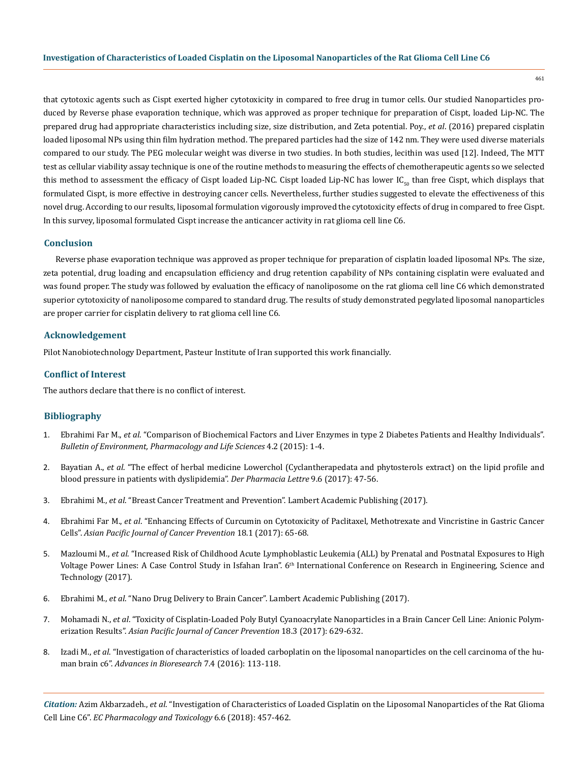that cytotoxic agents such as Cispt exerted higher cytotoxicity in compared to free drug in tumor cells. Our studied Nanoparticles produced by Reverse phase evaporation technique, which was approved as proper technique for preparation of Cispt, loaded Lip-NC. The prepared drug had appropriate characteristics including size, size distribution, and Zeta potential. Poy., *et al*. (2016) prepared cisplatin loaded liposomal NPs using thin film hydration method. The prepared particles had the size of 142 nm. They were used diverse materials compared to our study. The PEG molecular weight was diverse in two studies. In both studies, lecithin was used [12]. Indeed, The MTT test as cellular viability assay technique is one of the routine methods to measuring the effects of chemotherapeutic agents so we selected this method to assessment the efficacy of Cispt loaded Lip-NC. Cispt loaded Lip-NC has lower  $IC_{50}$  than free Cispt, which displays that formulated Cispt, is more effective in destroying cancer cells. Nevertheless, further studies suggested to elevate the effectiveness of this novel drug. According to our results, liposomal formulation vigorously improved the cytotoxicity effects of drug in compared to free Cispt. In this survey, liposomal formulated Cispt increase the anticancer activity in rat glioma cell line C6.

#### **Conclusion**

Reverse phase evaporation technique was approved as proper technique for preparation of cisplatin loaded liposomal NPs. The size, zeta potential, drug loading and encapsulation efficiency and drug retention capability of NPs containing cisplatin were evaluated and was found proper. The study was followed by evaluation the efficacy of nanoliposome on the rat glioma cell line C6 which demonstrated superior cytotoxicity of nanoliposome compared to standard drug. The results of study demonstrated pegylated liposomal nanoparticles are proper carrier for cisplatin delivery to rat glioma cell line C6.

## **Acknowledgement**

Pilot Nanobiotechnology Department, Pasteur Institute of Iran supported this work financially.

#### **Conflict of Interest**

The authors declare that there is no conflict of interest.

## **Bibliography**

- 1. Ebrahimi Far M., *et al*[. "Comparison of Biochemical Factors and Liver Enzymes in type 2 Diabetes Patients and Healthy Individuals".](http://bepls.com/jan2015/1.pdf)  *[Bulletin of Environment, Pharmacology and Life Sciences](http://bepls.com/jan2015/1.pdf)* 4.2 (2015): 1-4.
- 2. Bayatian A., *et al*[. "The effect of herbal medicine Lowerchol \(Cyclantherapedata and phytosterols extract\) on the lipid profile and](http://www.scholarsresearchlibrary.com/abstract/the-effect-of-herbal-medicine-lowerchol-cyclanthera-pedata-and-phytosterols-extract-on-the-lipid-profile-and-blood-press-12672.html)  [blood pressure in patients with dyslipidemia".](http://www.scholarsresearchlibrary.com/abstract/the-effect-of-herbal-medicine-lowerchol-cyclanthera-pedata-and-phytosterols-extract-on-the-lipid-profile-and-blood-press-12672.html) *Der Pharmacia Lettre* 9.6 (2017): 47-56.
- 3. Ebrahimi M., *et al*. "Breast Cancer Treatment and Prevention". Lambert Academic Publishing (2017).
- 4. Ebrahimi Far M., *et al*[. "Enhancing Effects of Curcumin on Cytotoxicity of Paclitaxel, Methotrexate and Vincristine in Gastric Cancer](https://www.ncbi.nlm.nih.gov/pubmed/28240011)  Cells". *[Asian Pacific Journal of Cancer Prevention](https://www.ncbi.nlm.nih.gov/pubmed/28240011)* 18.1 (2017): 65-68.
- 5. Mazloumi M., *et al*[. "Increased Risk of Childhood Acute Lymphoblastic Leukemia \(ALL\) by Prenatal and Postnatal Exposures to High](https://www.researchgate.net/publication/322701190_Increased_risk_of_childhood_Acute_Lymphoblastic_Leukemia_ALL_by_prenatal_and_postnatal_exposures_to_high_voltage_power_lines_A_case_control_study_in_Isfahan-Iran)  Voltage Power Lines: A Case Control Study in Isfahan Iran". 6<sup>th</sup> International Conference on Research in Engineering, Science and [Technology \(2017\).](https://www.researchgate.net/publication/322701190_Increased_risk_of_childhood_Acute_Lymphoblastic_Leukemia_ALL_by_prenatal_and_postnatal_exposures_to_high_voltage_power_lines_A_case_control_study_in_Isfahan-Iran)
- 6. Ebrahimi M., *et al*. "Nano Drug Delivery to Brain Cancer". Lambert Academic Publishing (2017).
- 7. Mohamadi N., *et al*[. "Toxicity of Cisplatin-Loaded Poly Butyl Cyanoacrylate Nanoparticles in a Brain Cancer Cell Line: Anionic Polym](https://www.ncbi.nlm.nih.gov/pubmed/28440967)erization Results". *[Asian Pacific Journal of Cancer Prevention](https://www.ncbi.nlm.nih.gov/pubmed/28440967)* 18.3 (2017): 629-632.
- 8. Izadi M., *et al*[. "Investigation of characteristics of loaded carboplatin on the liposomal nanoparticles on the cell carcinoma of the hu](http://soeagra.com/abr/abrjuly2016/18a.pdf)man brain c6". *[Advances in Bioresearch](http://soeagra.com/abr/abrjuly2016/18a.pdf)* 7.4 (2016): 113-118.

*Citation:* Azim Akbarzadeh., *et al*. "Investigation of Characteristics of Loaded Cisplatin on the Liposomal Nanoparticles of the Rat Glioma Cell Line C6". *EC Pharmacology and Toxicology* 6.6 (2018): 457-462.